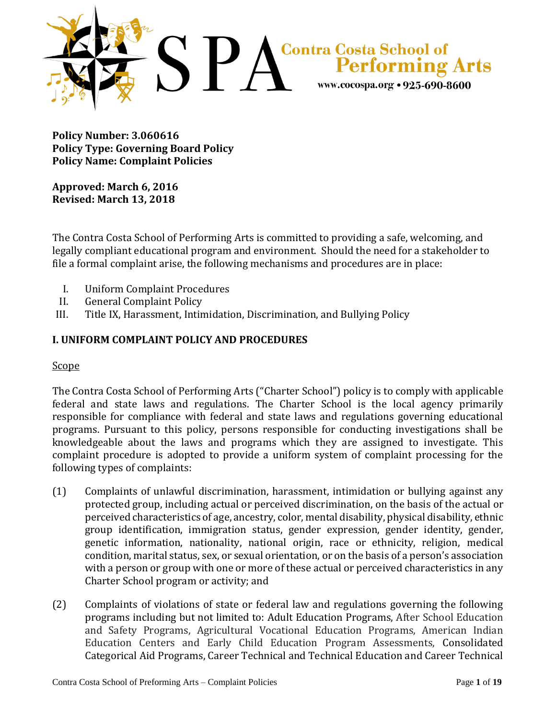

**Policy Number: 3.060616 Policy Type: Governing Board Policy Policy Name: Complaint Policies**

**Approved: March 6, 2016 Revised: March 13, 2018**

The Contra Costa School of Performing Arts is committed to providing a safe, welcoming, and legally compliant educational program and environment. Should the need for a stakeholder to file a formal complaint arise, the following mechanisms and procedures are in place:

- I. Uniform Complaint Procedures
- II. General Complaint Policy
- III. Title IX, Harassment, Intimidation, Discrimination, and Bullying Policy

## **I. UNIFORM COMPLAINT POLICY AND PROCEDURES**

#### Scope

The Contra Costa School of Performing Arts ("Charter School") policy is to comply with applicable federal and state laws and regulations. The Charter School is the local agency primarily responsible for compliance with federal and state laws and regulations governing educational programs. Pursuant to this policy, persons responsible for conducting investigations shall be knowledgeable about the laws and programs which they are assigned to investigate. This complaint procedure is adopted to provide a uniform system of complaint processing for the following types of complaints:

- (1) Complaints of unlawful discrimination, harassment, intimidation or bullying against any protected group, including actual or perceived discrimination, on the basis of the actual or perceived characteristics of age, ancestry, color, mental disability, physical disability, ethnic group identification, immigration status, gender expression, gender identity, gender, genetic information, nationality, national origin, race or ethnicity, religion, medical condition, marital status, sex, or sexual orientation, or on the basis of a person's association with a person or group with one or more of these actual or perceived characteristics in any Charter School program or activity; and
- (2) Complaints of violations of state or federal law and regulations governing the following programs including but not limited to: Adult Education Programs, After School Education and Safety Programs, Agricultural Vocational Education Programs, American Indian Education Centers and Early Child Education Program Assessments, Consolidated Categorical Aid Programs, Career Technical and Technical Education and Career Technical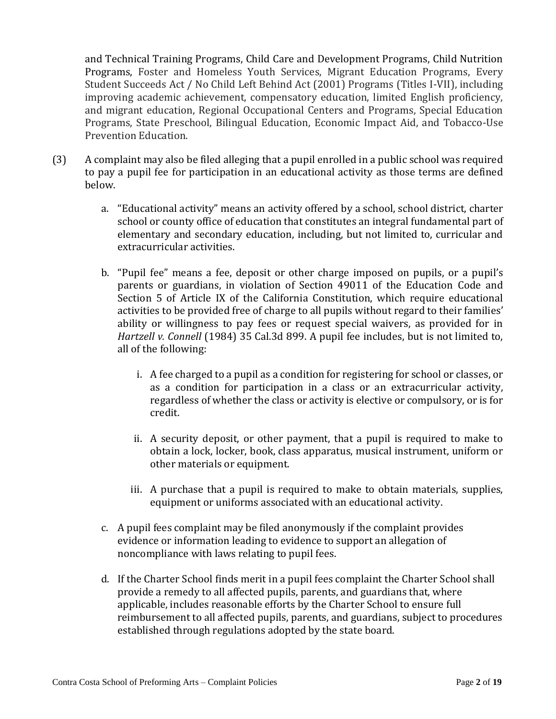and Technical Training Programs, Child Care and Development Programs, Child Nutrition Programs, Foster and Homeless Youth Services, Migrant Education Programs, Every Student Succeeds Act / No Child Left Behind Act (2001) Programs (Titles I-VII), including improving academic achievement, compensatory education, limited English proficiency, and migrant education, Regional Occupational Centers and Programs, Special Education Programs, State Preschool, Bilingual Education, Economic Impact Aid, and Tobacco-Use Prevention Education.

- (3) A complaint may also be filed alleging that a pupil enrolled in a public school was required to pay a pupil fee for participation in an educational activity as those terms are defined below.
	- a. "Educational activity" means an activity offered by a school, school district, charter school or county office of education that constitutes an integral fundamental part of elementary and secondary education, including, but not limited to, curricular and extracurricular activities.
	- b. "Pupil fee" means a fee, deposit or other charge imposed on pupils, or a pupil's parents or guardians, in violation of Section 49011 of the Education Code and Section 5 of Article IX of the California Constitution, which require educational activities to be provided free of charge to all pupils without regard to their families' ability or willingness to pay fees or request special waivers, as provided for in *Hartzell v. Connell* (1984) 35 Cal.3d 899. A pupil fee includes, but is not limited to, all of the following:
		- i. A fee charged to a pupil as a condition for registering for school or classes, or as a condition for participation in a class or an extracurricular activity, regardless of whether the class or activity is elective or compulsory, or is for credit.
		- ii. A security deposit, or other payment, that a pupil is required to make to obtain a lock, locker, book, class apparatus, musical instrument, uniform or other materials or equipment.
		- iii. A purchase that a pupil is required to make to obtain materials, supplies, equipment or uniforms associated with an educational activity.
	- c. A pupil fees complaint may be filed anonymously if the complaint provides evidence or information leading to evidence to support an allegation of noncompliance with laws relating to pupil fees.
	- d. If the Charter School finds merit in a pupil fees complaint the Charter School shall provide a remedy to all affected pupils, parents, and guardians that, where applicable, includes reasonable efforts by the Charter School to ensure full reimbursement to all affected pupils, parents, and guardians, subject to procedures established through regulations adopted by the state board.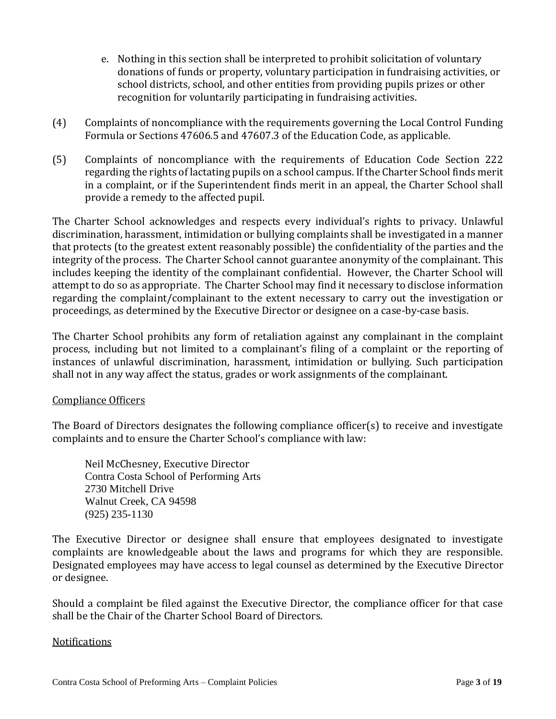- e. Nothing in this section shall be interpreted to prohibit solicitation of voluntary donations of funds or property, voluntary participation in fundraising activities, or school districts, school, and other entities from providing pupils prizes or other recognition for voluntarily participating in fundraising activities.
- (4) Complaints of noncompliance with the requirements governing the Local Control Funding Formula or Sections 47606.5 and 47607.3 of the Education Code, as applicable.
- (5) Complaints of noncompliance with the requirements of Education Code Section 222 regarding the rights of lactating pupils on a school campus. If the Charter School finds merit in a complaint, or if the Superintendent finds merit in an appeal, the Charter School shall provide a remedy to the affected pupil.

The Charter School acknowledges and respects every individual's rights to privacy. Unlawful discrimination, harassment, intimidation or bullying complaints shall be investigated in a manner that protects (to the greatest extent reasonably possible) the confidentiality of the parties and the integrity of the process. The Charter School cannot guarantee anonymity of the complainant. This includes keeping the identity of the complainant confidential. However, the Charter School will attempt to do so as appropriate. The Charter School may find it necessary to disclose information regarding the complaint/complainant to the extent necessary to carry out the investigation or proceedings, as determined by the Executive Director or designee on a case-by-case basis.

The Charter School prohibits any form of retaliation against any complainant in the complaint process, including but not limited to a complainant's filing of a complaint or the reporting of instances of unlawful discrimination, harassment, intimidation or bullying. Such participation shall not in any way affect the status, grades or work assignments of the complainant.

### Compliance Officers

The Board of Directors designates the following compliance officer(s) to receive and investigate complaints and to ensure the Charter School's compliance with law:

Neil McChesney, Executive Director Contra Costa School of Performing Arts 2730 Mitchell Drive Walnut Creek, CA 94598 (925) 235-1130

The Executive Director or designee shall ensure that employees designated to investigate complaints are knowledgeable about the laws and programs for which they are responsible. Designated employees may have access to legal counsel as determined by the Executive Director or designee.

Should a complaint be filed against the Executive Director, the compliance officer for that case shall be the Chair of the Charter School Board of Directors.

### **Notifications**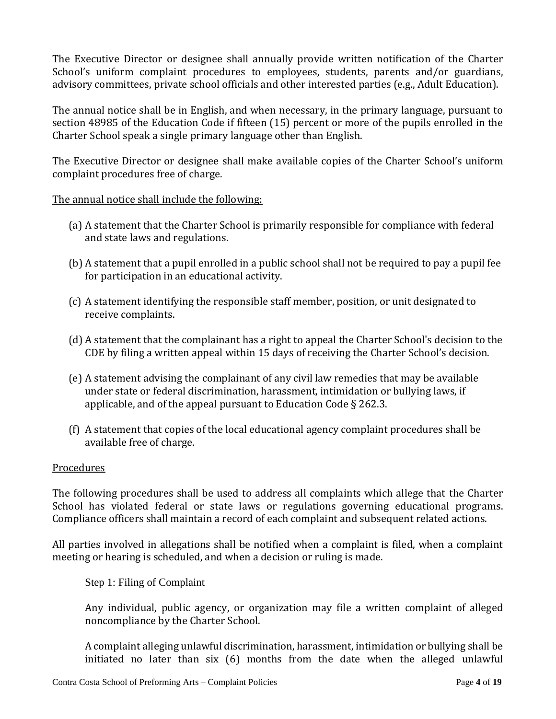The Executive Director or designee shall annually provide written notification of the Charter School's uniform complaint procedures to employees, students, parents and/or guardians, advisory committees, private school officials and other interested parties (e.g., Adult Education).

The annual notice shall be in English, and when necessary, in the primary language, pursuant to section 48985 of the Education Code if fifteen (15) percent or more of the pupils enrolled in the Charter School speak a single primary language other than English.

The Executive Director or designee shall make available copies of the Charter School's uniform complaint procedures free of charge.

### The annual notice shall include the following:

- (a) A statement that the Charter School is primarily responsible for compliance with federal and state laws and regulations.
- (b) A statement that a pupil enrolled in a public school shall not be required to pay a pupil fee for participation in an educational activity.
- (c) A statement identifying the responsible staff member, position, or unit designated to receive complaints.
- (d) A statement that the complainant has a right to appeal the Charter School's decision to the CDE by filing a written appeal within 15 days of receiving the Charter School's decision.
- (e) A statement advising the complainant of any civil law remedies that may be available under state or federal discrimination, harassment, intimidation or bullying laws, if applicable, and of the appeal pursuant to Education Code § 262.3.
- (f) A statement that copies of the local educational agency complaint procedures shall be available free of charge.

### Procedures

The following procedures shall be used to address all complaints which allege that the Charter School has violated federal or state laws or regulations governing educational programs. Compliance officers shall maintain a record of each complaint and subsequent related actions.

All parties involved in allegations shall be notified when a complaint is filed, when a complaint meeting or hearing is scheduled, and when a decision or ruling is made.

Step 1: Filing of Complaint

Any individual, public agency, or organization may file a written complaint of alleged noncompliance by the Charter School.

A complaint alleging unlawful discrimination, harassment, intimidation or bullying shall be initiated no later than six (6) months from the date when the alleged unlawful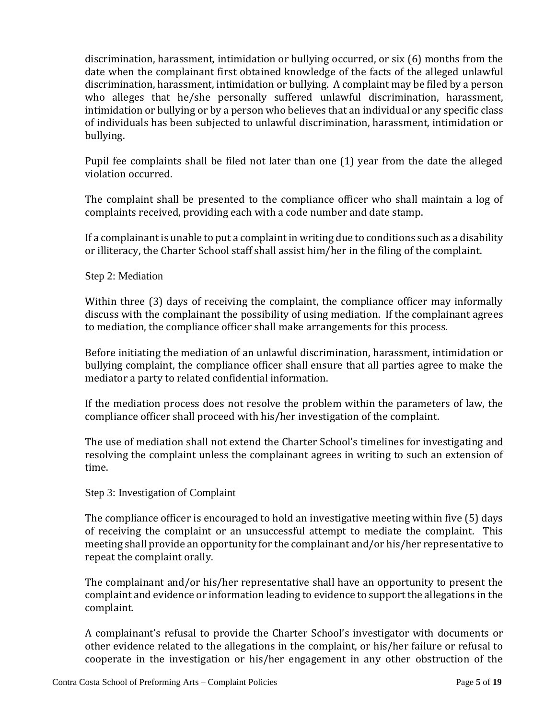discrimination, harassment, intimidation or bullying occurred, or six (6) months from the date when the complainant first obtained knowledge of the facts of the alleged unlawful discrimination, harassment, intimidation or bullying. A complaint may be filed by a person who alleges that he/she personally suffered unlawful discrimination, harassment, intimidation or bullying or by a person who believes that an individual or any specific class of individuals has been subjected to unlawful discrimination, harassment, intimidation or bullying.

Pupil fee complaints shall be filed not later than one (1) year from the date the alleged violation occurred.

The complaint shall be presented to the compliance officer who shall maintain a log of complaints received, providing each with a code number and date stamp.

If a complainant is unable to put a complaint in writing due to conditions such as a disability or illiteracy, the Charter School staff shall assist him/her in the filing of the complaint.

#### Step 2: Mediation

Within three (3) days of receiving the complaint, the compliance officer may informally discuss with the complainant the possibility of using mediation. If the complainant agrees to mediation, the compliance officer shall make arrangements for this process.

Before initiating the mediation of an unlawful discrimination, harassment, intimidation or bullying complaint, the compliance officer shall ensure that all parties agree to make the mediator a party to related confidential information.

If the mediation process does not resolve the problem within the parameters of law, the compliance officer shall proceed with his/her investigation of the complaint.

The use of mediation shall not extend the Charter School's timelines for investigating and resolving the complaint unless the complainant agrees in writing to such an extension of time.

#### Step 3: Investigation of Complaint

The compliance officer is encouraged to hold an investigative meeting within five (5) days of receiving the complaint or an unsuccessful attempt to mediate the complaint. This meeting shall provide an opportunity for the complainant and/or his/her representative to repeat the complaint orally.

The complainant and/or his/her representative shall have an opportunity to present the complaint and evidence or information leading to evidence to support the allegations in the complaint.

A complainant's refusal to provide the Charter School's investigator with documents or other evidence related to the allegations in the complaint, or his/her failure or refusal to cooperate in the investigation or his/her engagement in any other obstruction of the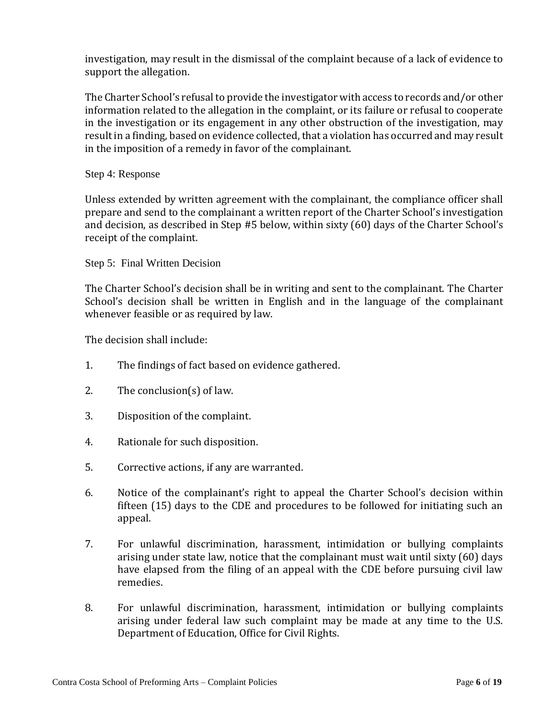investigation, may result in the dismissal of the complaint because of a lack of evidence to support the allegation.

The Charter School's refusal to provide the investigator with access to records and/or other information related to the allegation in the complaint, or its failure or refusal to cooperate in the investigation or its engagement in any other obstruction of the investigation, may result in a finding, based on evidence collected, that a violation has occurred and may result in the imposition of a remedy in favor of the complainant.

#### Step 4: Response

Unless extended by written agreement with the complainant, the compliance officer shall prepare and send to the complainant a written report of the Charter School's investigation and decision, as described in Step #5 below, within sixty (60) days of the Charter School's receipt of the complaint.

#### Step 5: Final Written Decision

The Charter School's decision shall be in writing and sent to the complainant. The Charter School's decision shall be written in English and in the language of the complainant whenever feasible or as required by law.

The decision shall include:

- 1. The findings of fact based on evidence gathered.
- 2. The conclusion(s) of law.
- 3. Disposition of the complaint.
- 4. Rationale for such disposition.
- 5. Corrective actions, if any are warranted.
- 6. Notice of the complainant's right to appeal the Charter School's decision within fifteen (15) days to the CDE and procedures to be followed for initiating such an appeal.
- 7. For unlawful discrimination, harassment, intimidation or bullying complaints arising under state law, notice that the complainant must wait until sixty (60) days have elapsed from the filing of an appeal with the CDE before pursuing civil law remedies.
- 8. For unlawful discrimination, harassment, intimidation or bullying complaints arising under federal law such complaint may be made at any time to the U.S. Department of Education, Office for Civil Rights.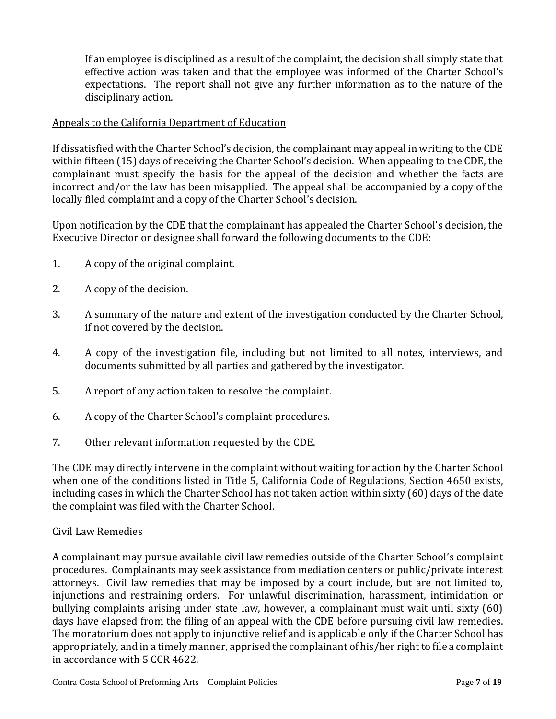If an employee is disciplined as a result of the complaint, the decision shall simply state that effective action was taken and that the employee was informed of the Charter School's expectations. The report shall not give any further information as to the nature of the disciplinary action.

## Appeals to the California Department of Education

If dissatisfied with the Charter School's decision, the complainant may appeal in writing to the CDE within fifteen (15) days of receiving the Charter School's decision. When appealing to the CDE, the complainant must specify the basis for the appeal of the decision and whether the facts are incorrect and/or the law has been misapplied. The appeal shall be accompanied by a copy of the locally filed complaint and a copy of the Charter School's decision.

Upon notification by the CDE that the complainant has appealed the Charter School's decision, the Executive Director or designee shall forward the following documents to the CDE:

- 1. A copy of the original complaint.
- 2. A copy of the decision.
- 3. A summary of the nature and extent of the investigation conducted by the Charter School, if not covered by the decision.
- 4. A copy of the investigation file, including but not limited to all notes, interviews, and documents submitted by all parties and gathered by the investigator.
- 5. A report of any action taken to resolve the complaint.
- 6. A copy of the Charter School's complaint procedures.
- 7. Other relevant information requested by the CDE.

The CDE may directly intervene in the complaint without waiting for action by the Charter School when one of the conditions listed in Title 5, California Code of Regulations, Section 4650 exists, including cases in which the Charter School has not taken action within sixty (60) days of the date the complaint was filed with the Charter School.

### Civil Law Remedies

A complainant may pursue available civil law remedies outside of the Charter School's complaint procedures. Complainants may seek assistance from mediation centers or public/private interest attorneys. Civil law remedies that may be imposed by a court include, but are not limited to, injunctions and restraining orders. For unlawful discrimination, harassment, intimidation or bullying complaints arising under state law, however, a complainant must wait until sixty (60) days have elapsed from the filing of an appeal with the CDE before pursuing civil law remedies. The moratorium does not apply to injunctive relief and is applicable only if the Charter School has appropriately, and in a timely manner, apprised the complainant of his/her right to file a complaint in accordance with 5 CCR 4622.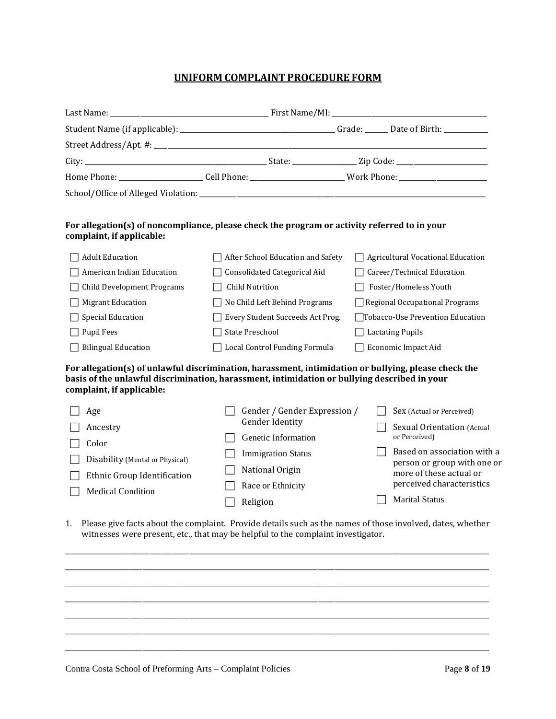#### **UNIFORM COMPLAINT PROCEDURE FORM**

| Student Name (if applicable): ___________________________________Grade: _______Date of Birth: ____________ |  |  |
|------------------------------------------------------------------------------------------------------------|--|--|
|                                                                                                            |  |  |
|                                                                                                            |  |  |
|                                                                                                            |  |  |
|                                                                                                            |  |  |

#### **For allegation(s) of noncompliance, please check the program or activity referred to in your complaint, if applicable:**

| <b>Adult Education</b>            | After School Education and Safety | $\Box$ Agricultural Vocational Education |
|-----------------------------------|-----------------------------------|------------------------------------------|
| American Indian Education         | Consolidated Categorical Aid      | Career/Technical Education               |
| $\Box$ Child Development Programs | <b>Child Nutrition</b>            | Foster/Homeless Youth                    |
| <b>Migrant Education</b>          | No Child Left Behind Programs     | $\Box$ Regional Occupational Programs    |
| Special Education                 | Every Student Succeeds Act Prog.  | □Tobacco-Use Prevention Education        |
| Pupil Fees                        | State Preschool                   | <b>Lactating Pupils</b>                  |
| <b>Bilingual Education</b>        | Local Control Funding Formula     | Economic Impact Aid                      |

**For allegation(s) of unlawful discrimination, harassment, intimidation or bullying, please check the basis of the unlawful discrimination, harassment, intimidation or bullying described in your complaint, if applicable:**

| Age                             | Gender / Gender Expression / | Sex (Actual or Perceived)                                  |
|---------------------------------|------------------------------|------------------------------------------------------------|
| Ancestry                        | <b>Gender Identity</b>       | Sexual Orientation (Actual                                 |
| Color                           | Genetic Information          | or Perceived)                                              |
| Disability (Mental or Physical) | <b>Immigration Status</b>    | Based on association with a<br>person or group with one or |
| Ethnic Group Identification     | National Origin              | more of these actual or                                    |
| <b>Medical Condition</b>        | Race or Ethnicity            | perceived characteristics                                  |
|                                 | Religion                     | <b>Marital Status</b>                                      |

1. Please give facts about the complaint. Provide details such as the names of those involved, dates, whether witnesses were present, etc., that may be helpful to the complaint investigator.

\_\_\_\_\_\_\_\_\_\_\_\_\_\_\_\_\_\_\_\_\_\_\_\_\_\_\_\_\_\_\_\_\_\_\_\_\_\_\_\_\_\_\_\_\_\_\_\_\_\_\_\_\_\_\_\_\_\_\_\_\_\_\_\_\_\_\_\_\_\_\_\_\_\_\_\_\_\_\_\_\_\_\_\_\_\_\_\_\_\_\_\_\_\_\_\_\_\_\_\_\_\_\_\_\_\_\_\_\_\_\_\_\_\_\_\_\_\_\_\_\_\_\_\_\_\_ \_\_\_\_\_\_\_\_\_\_\_\_\_\_\_\_\_\_\_\_\_\_\_\_\_\_\_\_\_\_\_\_\_\_\_\_\_\_\_\_\_\_\_\_\_\_\_\_\_\_\_\_\_\_\_\_\_\_\_\_\_\_\_\_\_\_\_\_\_\_\_\_\_\_\_\_\_\_\_\_\_\_\_\_\_\_\_\_\_\_\_\_\_\_\_\_\_\_\_\_\_\_\_\_\_\_\_\_\_\_\_\_\_\_\_\_\_\_\_\_\_\_\_\_\_\_ \_\_\_\_\_\_\_\_\_\_\_\_\_\_\_\_\_\_\_\_\_\_\_\_\_\_\_\_\_\_\_\_\_\_\_\_\_\_\_\_\_\_\_\_\_\_\_\_\_\_\_\_\_\_\_\_\_\_\_\_\_\_\_\_\_\_\_\_\_\_\_\_\_\_\_\_\_\_\_\_\_\_\_\_\_\_\_\_\_\_\_\_\_\_\_\_\_\_\_\_\_\_\_\_\_\_\_\_\_\_\_\_\_\_\_\_\_\_\_\_\_\_\_\_\_\_ \_\_\_\_\_\_\_\_\_\_\_\_\_\_\_\_\_\_\_\_\_\_\_\_\_\_\_\_\_\_\_\_\_\_\_\_\_\_\_\_\_\_\_\_\_\_\_\_\_\_\_\_\_\_\_\_\_\_\_\_\_\_\_\_\_\_\_\_\_\_\_\_\_\_\_\_\_\_\_\_\_\_\_\_\_\_\_\_\_\_\_\_\_\_\_\_\_\_\_\_\_\_\_\_\_\_\_\_\_\_\_\_\_\_\_\_\_\_\_\_\_\_\_\_\_\_ \_\_\_\_\_\_\_\_\_\_\_\_\_\_\_\_\_\_\_\_\_\_\_\_\_\_\_\_\_\_\_\_\_\_\_\_\_\_\_\_\_\_\_\_\_\_\_\_\_\_\_\_\_\_\_\_\_\_\_\_\_\_\_\_\_\_\_\_\_\_\_\_\_\_\_\_\_\_\_\_\_\_\_\_\_\_\_\_\_\_\_\_\_\_\_\_\_\_\_\_\_\_\_\_\_\_\_\_\_\_\_\_\_\_\_\_\_\_\_\_\_\_\_\_\_\_ \_\_\_\_\_\_\_\_\_\_\_\_\_\_\_\_\_\_\_\_\_\_\_\_\_\_\_\_\_\_\_\_\_\_\_\_\_\_\_\_\_\_\_\_\_\_\_\_\_\_\_\_\_\_\_\_\_\_\_\_\_\_\_\_\_\_\_\_\_\_\_\_\_\_\_\_\_\_\_\_\_\_\_\_\_\_\_\_\_\_\_\_\_\_\_\_\_\_\_\_\_\_\_\_\_\_\_\_\_\_\_\_\_\_\_\_\_\_\_\_\_\_\_\_\_\_ \_\_\_\_\_\_\_\_\_\_\_\_\_\_\_\_\_\_\_\_\_\_\_\_\_\_\_\_\_\_\_\_\_\_\_\_\_\_\_\_\_\_\_\_\_\_\_\_\_\_\_\_\_\_\_\_\_\_\_\_\_\_\_\_\_\_\_\_\_\_\_\_\_\_\_\_\_\_\_\_\_\_\_\_\_\_\_\_\_\_\_\_\_\_\_\_\_\_\_\_\_\_\_\_\_\_\_\_\_\_\_\_\_\_\_\_\_\_\_\_\_\_\_\_\_\_

Contra Costa School of Preforming Arts – Complaint Policies Page 8 of 19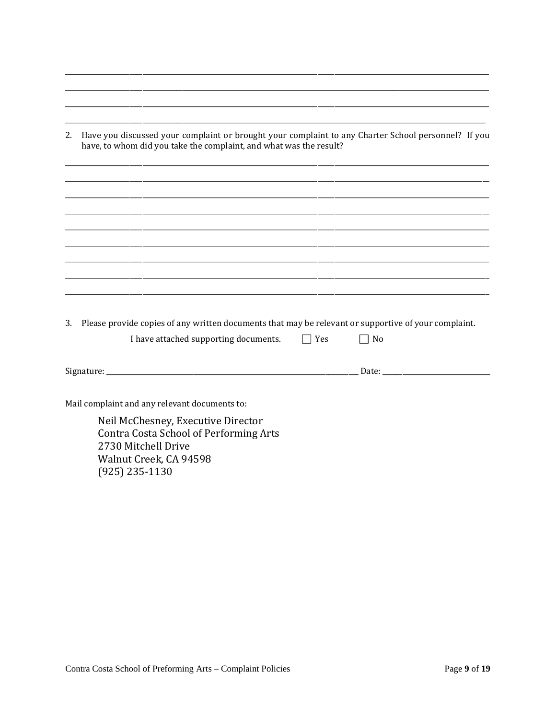| 2. | Have you discussed your complaint or brought your complaint to any Charter School personnel? If you<br>have, to whom did you take the complaint, and what was the result? |            |                                                                                                                                                                                                                                |  |
|----|---------------------------------------------------------------------------------------------------------------------------------------------------------------------------|------------|--------------------------------------------------------------------------------------------------------------------------------------------------------------------------------------------------------------------------------|--|
|    |                                                                                                                                                                           |            |                                                                                                                                                                                                                                |  |
|    |                                                                                                                                                                           |            |                                                                                                                                                                                                                                |  |
|    |                                                                                                                                                                           |            |                                                                                                                                                                                                                                |  |
|    |                                                                                                                                                                           |            |                                                                                                                                                                                                                                |  |
|    |                                                                                                                                                                           |            |                                                                                                                                                                                                                                |  |
|    |                                                                                                                                                                           |            |                                                                                                                                                                                                                                |  |
| 3. | Please provide copies of any written documents that may be relevant or supportive of your complaint.                                                                      |            |                                                                                                                                                                                                                                |  |
|    | I have attached supporting documents.                                                                                                                                     | $\top$ Yes | $\sqcap$ No                                                                                                                                                                                                                    |  |
|    |                                                                                                                                                                           |            | Date: the contract of the contract of the contract of the contract of the contract of the contract of the contract of the contract of the contract of the contract of the contract of the contract of the contract of the cont |  |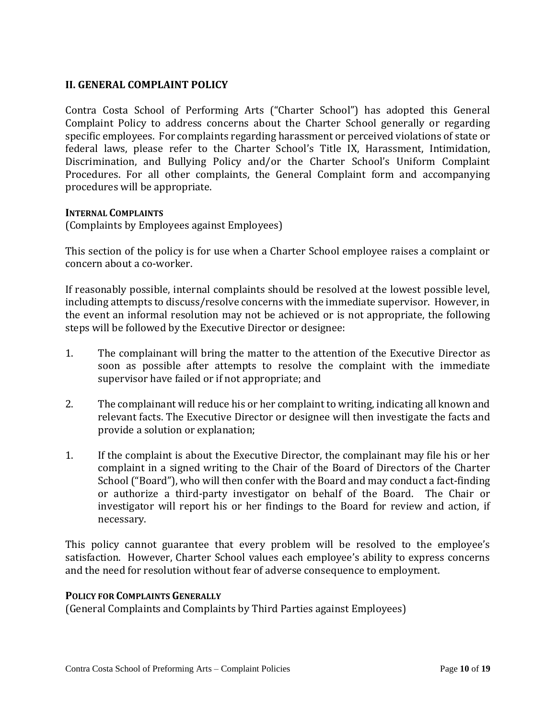#### **II. GENERAL COMPLAINT POLICY**

Contra Costa School of Performing Arts ("Charter School") has adopted this General Complaint Policy to address concerns about the Charter School generally or regarding specific employees. For complaints regarding harassment or perceived violations of state or federal laws, please refer to the Charter School's Title IX, Harassment, Intimidation, Discrimination, and Bullying Policy and/or the Charter School's Uniform Complaint Procedures. For all other complaints, the General Complaint form and accompanying procedures will be appropriate.

#### **INTERNAL COMPLAINTS**

(Complaints by Employees against Employees)

This section of the policy is for use when a Charter School employee raises a complaint or concern about a co-worker.

If reasonably possible, internal complaints should be resolved at the lowest possible level, including attempts to discuss/resolve concerns with the immediate supervisor. However, in the event an informal resolution may not be achieved or is not appropriate, the following steps will be followed by the Executive Director or designee:

- 1. The complainant will bring the matter to the attention of the Executive Director as soon as possible after attempts to resolve the complaint with the immediate supervisor have failed or if not appropriate; and
- 2. The complainant will reduce his or her complaint to writing, indicating all known and relevant facts. The Executive Director or designee will then investigate the facts and provide a solution or explanation;
- 1. If the complaint is about the Executive Director, the complainant may file his or her complaint in a signed writing to the Chair of the Board of Directors of the Charter School ("Board"), who will then confer with the Board and may conduct a fact-finding or authorize a third-party investigator on behalf of the Board. The Chair or investigator will report his or her findings to the Board for review and action, if necessary.

This policy cannot guarantee that every problem will be resolved to the employee's satisfaction. However, Charter School values each employee's ability to express concerns and the need for resolution without fear of adverse consequence to employment.

#### **POLICY FOR COMPLAINTS GENERALLY**

(General Complaints and Complaints by Third Parties against Employees)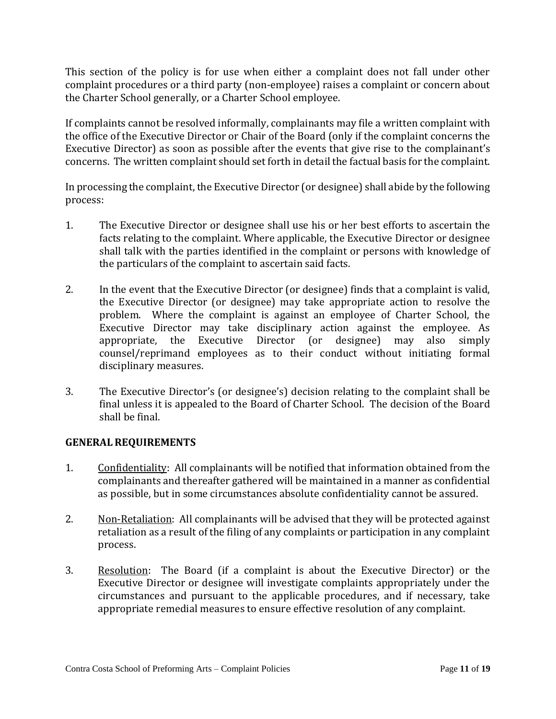This section of the policy is for use when either a complaint does not fall under other complaint procedures or a third party (non-employee) raises a complaint or concern about the Charter School generally, or a Charter School employee.

If complaints cannot be resolved informally, complainants may file a written complaint with the office of the Executive Director or Chair of the Board (only if the complaint concerns the Executive Director) as soon as possible after the events that give rise to the complainant's concerns. The written complaint should set forth in detail the factual basis for the complaint.

In processing the complaint, the Executive Director (or designee) shall abide by the following process:

- 1. The Executive Director or designee shall use his or her best efforts to ascertain the facts relating to the complaint. Where applicable, the Executive Director or designee shall talk with the parties identified in the complaint or persons with knowledge of the particulars of the complaint to ascertain said facts.
- 2. In the event that the Executive Director (or designee) finds that a complaint is valid, the Executive Director (or designee) may take appropriate action to resolve the problem. Where the complaint is against an employee of Charter School, the Executive Director may take disciplinary action against the employee. As appropriate, the Executive Director (or designee) may also simply counsel/reprimand employees as to their conduct without initiating formal disciplinary measures.
- 3. The Executive Director's (or designee's) decision relating to the complaint shall be final unless it is appealed to the Board of Charter School. The decision of the Board shall be final.

### **GENERAL REQUIREMENTS**

- 1. Confidentiality:All complainants will be notified that information obtained from the complainants and thereafter gathered will be maintained in a manner as confidential as possible, but in some circumstances absolute confidentiality cannot be assured.
- 2. Non-Retaliation:All complainants will be advised that they will be protected against retaliation as a result of the filing of any complaints or participation in any complaint process.
- 3. Resolution:The Board (if a complaint is about the Executive Director) or the Executive Director or designee will investigate complaints appropriately under the circumstances and pursuant to the applicable procedures, and if necessary, take appropriate remedial measures to ensure effective resolution of any complaint.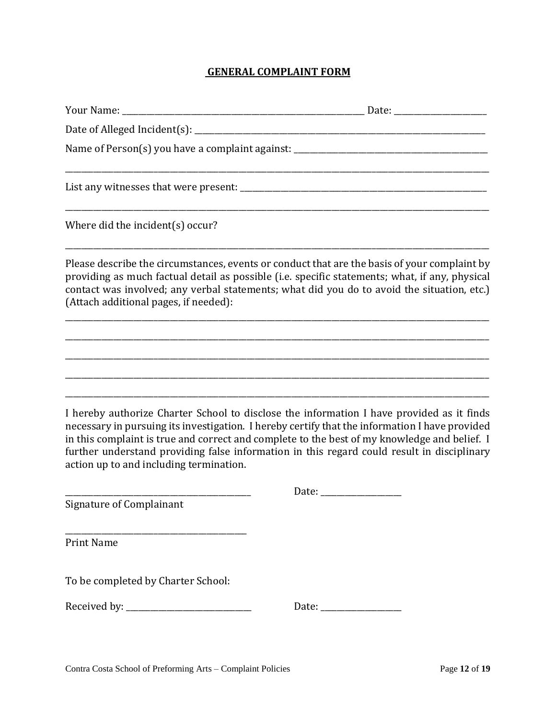## **GENERAL COMPLAINT FORM**

| Your Name: ____________                 |                                                                                                                                                                                                                                                                                                                                                                                           |
|-----------------------------------------|-------------------------------------------------------------------------------------------------------------------------------------------------------------------------------------------------------------------------------------------------------------------------------------------------------------------------------------------------------------------------------------------|
|                                         |                                                                                                                                                                                                                                                                                                                                                                                           |
|                                         | Name of Person(s) you have a complaint against: _________________________________                                                                                                                                                                                                                                                                                                         |
|                                         |                                                                                                                                                                                                                                                                                                                                                                                           |
| Where did the incident(s) occur?        |                                                                                                                                                                                                                                                                                                                                                                                           |
| (Attach additional pages, if needed):   | Please describe the circumstances, events or conduct that are the basis of your complaint by<br>providing as much factual detail as possible (i.e. specific statements; what, if any, physical<br>contact was involved; any verbal statements; what did you do to avoid the situation, etc.)                                                                                              |
|                                         |                                                                                                                                                                                                                                                                                                                                                                                           |
| action up to and including termination. | I hereby authorize Charter School to disclose the information I have provided as it finds<br>necessary in pursuing its investigation. I hereby certify that the information I have provided<br>in this complaint is true and correct and complete to the best of my knowledge and belief. I<br>further understand providing false information in this regard could result in disciplinary |
| <b>Signature of Complainant</b>         |                                                                                                                                                                                                                                                                                                                                                                                           |
| <b>Print Name</b>                       |                                                                                                                                                                                                                                                                                                                                                                                           |
| To be completed by Charter School:      |                                                                                                                                                                                                                                                                                                                                                                                           |
|                                         | Date: the contract of the contract of the contract of the contract of the contract of the contract of the contract of the contract of the contract of the contract of the contract of the contract of the contract of the cont                                                                                                                                                            |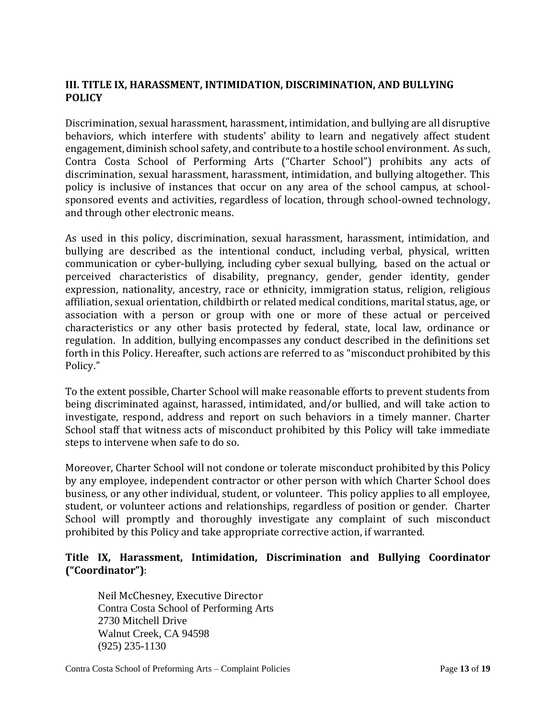## **III. TITLE IX, HARASSMENT, INTIMIDATION, DISCRIMINATION, AND BULLYING POLICY**

Discrimination, sexual harassment, harassment, intimidation, and bullying are all disruptive behaviors, which interfere with students' ability to learn and negatively affect student engagement, diminish school safety, and contribute to a hostile school environment. As such, Contra Costa School of Performing Arts ("Charter School") prohibits any acts of discrimination, sexual harassment, harassment, intimidation, and bullying altogether. This policy is inclusive of instances that occur on any area of the school campus, at schoolsponsored events and activities, regardless of location, through school-owned technology, and through other electronic means.

As used in this policy, discrimination, sexual harassment, harassment, intimidation, and bullying are described as the intentional conduct, including verbal, physical, written communication or cyber-bullying, including cyber sexual bullying, based on the actual or perceived characteristics of disability, pregnancy, gender, gender identity, gender expression, nationality, ancestry, race or ethnicity, immigration status, religion, religious affiliation, sexual orientation, childbirth or related medical conditions, marital status, age, or association with a person or group with one or more of these actual or perceived characteristics or any other basis protected by federal, state, local law, ordinance or regulation. In addition, bullying encompasses any conduct described in the definitions set forth in this Policy. Hereafter, such actions are referred to as "misconduct prohibited by this Policy."

To the extent possible, Charter School will make reasonable efforts to prevent students from being discriminated against, harassed, intimidated, and/or bullied, and will take action to investigate, respond, address and report on such behaviors in a timely manner. Charter School staff that witness acts of misconduct prohibited by this Policy will take immediate steps to intervene when safe to do so.

Moreover, Charter School will not condone or tolerate misconduct prohibited by this Policy by any employee, independent contractor or other person with which Charter School does business, or any other individual, student, or volunteer. This policy applies to all employee, student, or volunteer actions and relationships, regardless of position or gender. Charter School will promptly and thoroughly investigate any complaint of such misconduct prohibited by this Policy and take appropriate corrective action, if warranted.

## **Title IX, Harassment, Intimidation, Discrimination and Bullying Coordinator ("Coordinator")**:

Neil McChesney, Executive Director Contra Costa School of Performing Arts 2730 Mitchell Drive Walnut Creek, CA 94598 (925) 235-1130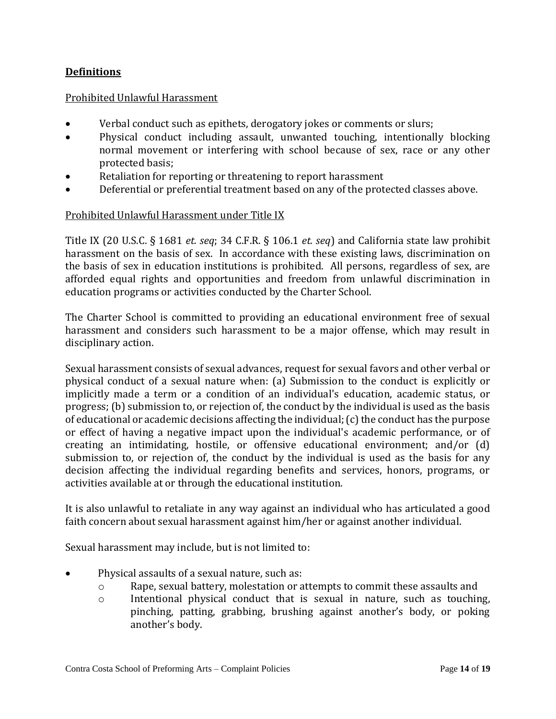## **Definitions**

#### Prohibited Unlawful Harassment

- Verbal conduct such as epithets, derogatory jokes or comments or slurs;
- Physical conduct including assault, unwanted touching, intentionally blocking normal movement or interfering with school because of sex, race or any other protected basis;
- Retaliation for reporting or threatening to report harassment
- Deferential or preferential treatment based on any of the protected classes above.

#### Prohibited Unlawful Harassment under Title IX

Title IX (20 U.S.C. § 1681 *et. seq*; 34 C.F.R. § 106.1 *et. seq*) and California state law prohibit harassment on the basis of sex. In accordance with these existing laws, discrimination on the basis of sex in education institutions is prohibited. All persons, regardless of sex, are afforded equal rights and opportunities and freedom from unlawful discrimination in education programs or activities conducted by the Charter School.

The Charter School is committed to providing an educational environment free of sexual harassment and considers such harassment to be a major offense, which may result in disciplinary action.

Sexual harassment consists of sexual advances, request for sexual favors and other verbal or physical conduct of a sexual nature when: (a) Submission to the conduct is explicitly or implicitly made a term or a condition of an individual's education, academic status, or progress; (b) submission to, or rejection of, the conduct by the individual is used as the basis of educational or academic decisions affecting the individual; (c) the conduct has the purpose or effect of having a negative impact upon the individual's academic performance, or of creating an intimidating, hostile, or offensive educational environment; and/or (d) submission to, or rejection of, the conduct by the individual is used as the basis for any decision affecting the individual regarding benefits and services, honors, programs, or activities available at or through the educational institution.

It is also unlawful to retaliate in any way against an individual who has articulated a good faith concern about sexual harassment against him/her or against another individual.

Sexual harassment may include, but is not limited to:

- Physical assaults of a sexual nature, such as:
	- o Rape, sexual battery, molestation or attempts to commit these assaults and
	- o Intentional physical conduct that is sexual in nature, such as touching, pinching, patting, grabbing, brushing against another's body, or poking another's body.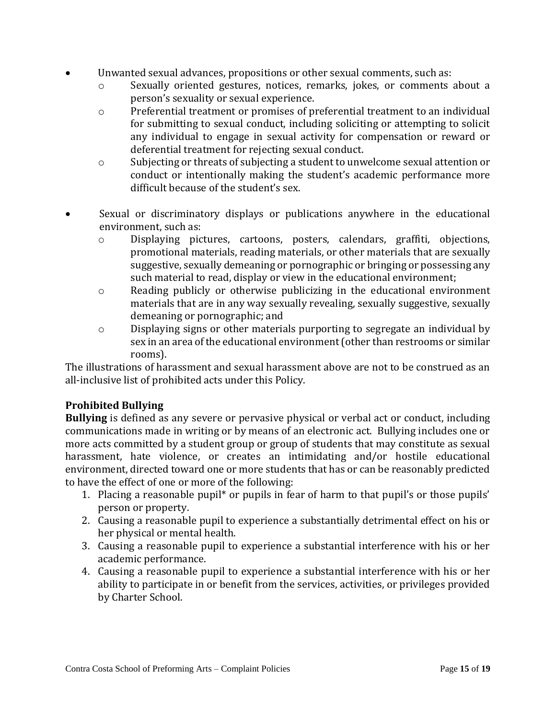- Unwanted sexual advances, propositions or other sexual comments, such as:
	- o Sexually oriented gestures, notices, remarks, jokes, or comments about a person's sexuality or sexual experience.
	- o Preferential treatment or promises of preferential treatment to an individual for submitting to sexual conduct, including soliciting or attempting to solicit any individual to engage in sexual activity for compensation or reward or deferential treatment for rejecting sexual conduct.
	- o Subjecting or threats of subjecting a student to unwelcome sexual attention or conduct or intentionally making the student's academic performance more difficult because of the student's sex.
- Sexual or discriminatory displays or publications anywhere in the educational environment, such as:
	- o Displaying pictures, cartoons, posters, calendars, graffiti, objections, promotional materials, reading materials, or other materials that are sexually suggestive, sexually demeaning or pornographic or bringing or possessing any such material to read, display or view in the educational environment;
	- o Reading publicly or otherwise publicizing in the educational environment materials that are in any way sexually revealing, sexually suggestive, sexually demeaning or pornographic; and
	- o Displaying signs or other materials purporting to segregate an individual by sex in an area of the educational environment (other than restrooms or similar rooms).

The illustrations of harassment and sexual harassment above are not to be construed as an all-inclusive list of prohibited acts under this Policy.

## **Prohibited Bullying**

**Bullying** is defined as any severe or pervasive physical or verbal act or conduct, including communications made in writing or by means of an electronic act. Bullying includes one or more acts committed by a student group or group of students that may constitute as sexual harassment, hate violence, or creates an intimidating and/or hostile educational environment, directed toward one or more students that has or can be reasonably predicted to have the effect of one or more of the following:

- 1. Placing a reasonable pupil\* or pupils in fear of harm to that pupil's or those pupils' person or property.
- 2. Causing a reasonable pupil to experience a substantially detrimental effect on his or her physical or mental health.
- 3. Causing a reasonable pupil to experience a substantial interference with his or her academic performance.
- 4. Causing a reasonable pupil to experience a substantial interference with his or her ability to participate in or benefit from the services, activities, or privileges provided by Charter School.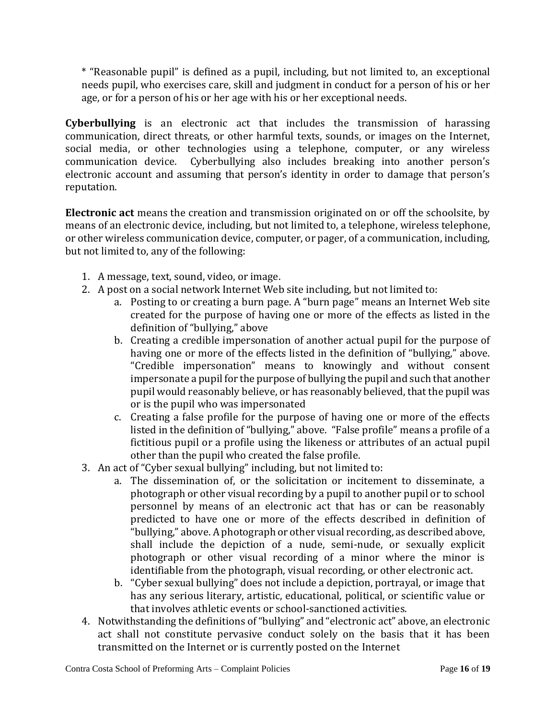\* "Reasonable pupil" is defined as a pupil, including, but not limited to, an exceptional needs pupil, who exercises care, skill and judgment in conduct for a person of his or her age, or for a person of his or her age with his or her exceptional needs.

**Cyberbullying** is an electronic act that includes the transmission of harassing communication, direct threats, or other harmful texts, sounds, or images on the Internet, social media, or other technologies using a telephone, computer, or any wireless communication device. Cyberbullying also includes breaking into another person's electronic account and assuming that person's identity in order to damage that person's reputation.

**Electronic act** means the creation and transmission originated on or off the schoolsite, by means of an electronic device, including, but not limited to, a telephone, wireless telephone, or other wireless communication device, computer, or pager, of a communication, including, but not limited to, any of the following:

- 1. A message, text, sound, video, or image.
- 2. A post on a social network Internet Web site including, but not limited to:
	- a. Posting to or creating a burn page. A "burn page" means an Internet Web site created for the purpose of having one or more of the effects as listed in the definition of "bullying," above
	- b. Creating a credible impersonation of another actual pupil for the purpose of having one or more of the effects listed in the definition of "bullying," above. "Credible impersonation" means to knowingly and without consent impersonate a pupil for the purpose of bullying the pupil and such that another pupil would reasonably believe, or has reasonably believed, that the pupil was or is the pupil who was impersonated
	- c. Creating a false profile for the purpose of having one or more of the effects listed in the definition of "bullying," above. "False profile" means a profile of a fictitious pupil or a profile using the likeness or attributes of an actual pupil other than the pupil who created the false profile.
- 3. An act of "Cyber sexual bullying" including, but not limited to:
	- a. The dissemination of, or the solicitation or incitement to disseminate, a photograph or other visual recording by a pupil to another pupil or to school personnel by means of an electronic act that has or can be reasonably predicted to have one or more of the effects described in definition of "bullying," above. A photograph or other visual recording, as described above, shall include the depiction of a nude, semi-nude, or sexually explicit photograph or other visual recording of a minor where the minor is identifiable from the photograph, visual recording, or other electronic act.
	- b. "Cyber sexual bullying" does not include a depiction, portrayal, or image that has any serious literary, artistic, educational, political, or scientific value or that involves athletic events or school-sanctioned activities.
- 4. Notwithstanding the definitions of "bullying" and "electronic act" above, an electronic act shall not constitute pervasive conduct solely on the basis that it has been transmitted on the Internet or is currently posted on the Internet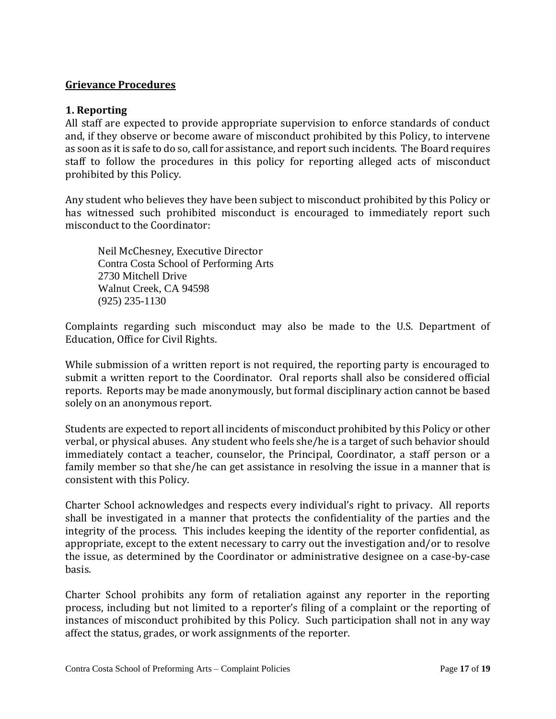#### **Grievance Procedures**

#### **1. Reporting**

All staff are expected to provide appropriate supervision to enforce standards of conduct and, if they observe or become aware of misconduct prohibited by this Policy, to intervene as soon as it is safe to do so, call for assistance, and report such incidents. The Board requires staff to follow the procedures in this policy for reporting alleged acts of misconduct prohibited by this Policy.

Any student who believes they have been subject to misconduct prohibited by this Policy or has witnessed such prohibited misconduct is encouraged to immediately report such misconduct to the Coordinator:

Neil McChesney, Executive Director Contra Costa School of Performing Arts 2730 Mitchell Drive Walnut Creek, CA 94598 (925) 235-1130

Complaints regarding such misconduct may also be made to the U.S. Department of Education, Office for Civil Rights.

While submission of a written report is not required, the reporting party is encouraged to submit a written report to the Coordinator. Oral reports shall also be considered official reports. Reports may be made anonymously, but formal disciplinary action cannot be based solely on an anonymous report.

Students are expected to report all incidents of misconduct prohibited by this Policy or other verbal, or physical abuses. Any student who feels she/he is a target of such behavior should immediately contact a teacher, counselor, the Principal, Coordinator, a staff person or a family member so that she/he can get assistance in resolving the issue in a manner that is consistent with this Policy.

Charter School acknowledges and respects every individual's right to privacy. All reports shall be investigated in a manner that protects the confidentiality of the parties and the integrity of the process. This includes keeping the identity of the reporter confidential, as appropriate, except to the extent necessary to carry out the investigation and/or to resolve the issue, as determined by the Coordinator or administrative designee on a case-by-case basis.

Charter School prohibits any form of retaliation against any reporter in the reporting process, including but not limited to a reporter's filing of a complaint or the reporting of instances of misconduct prohibited by this Policy. Such participation shall not in any way affect the status, grades, or work assignments of the reporter.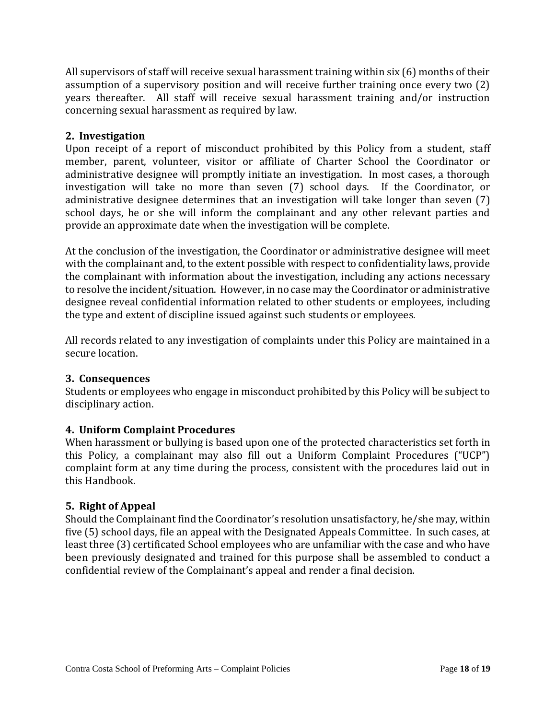All supervisors of staff will receive sexual harassment training within six (6) months of their assumption of a supervisory position and will receive further training once every two (2) years thereafter. All staff will receive sexual harassment training and/or instruction concerning sexual harassment as required by law.

### **2. Investigation**

Upon receipt of a report of misconduct prohibited by this Policy from a student, staff member, parent, volunteer, visitor or affiliate of Charter School the Coordinator or administrative designee will promptly initiate an investigation. In most cases, a thorough investigation will take no more than seven (7) school days. If the Coordinator, or administrative designee determines that an investigation will take longer than seven (7) school days, he or she will inform the complainant and any other relevant parties and provide an approximate date when the investigation will be complete.

At the conclusion of the investigation, the Coordinator or administrative designee will meet with the complainant and, to the extent possible with respect to confidentiality laws, provide the complainant with information about the investigation, including any actions necessary to resolve the incident/situation. However, in no case may the Coordinator or administrative designee reveal confidential information related to other students or employees, including the type and extent of discipline issued against such students or employees.

All records related to any investigation of complaints under this Policy are maintained in a secure location.

### **3. Consequences**

Students or employees who engage in misconduct prohibited by this Policy will be subject to disciplinary action.

## **4. Uniform Complaint Procedures**

When harassment or bullying is based upon one of the protected characteristics set forth in this Policy, a complainant may also fill out a Uniform Complaint Procedures ("UCP") complaint form at any time during the process, consistent with the procedures laid out in this Handbook.

### **5. Right of Appeal**

Should the Complainant find the Coordinator's resolution unsatisfactory, he/she may, within five (5) school days, file an appeal with the Designated Appeals Committee. In such cases, at least three (3) certificated School employees who are unfamiliar with the case and who have been previously designated and trained for this purpose shall be assembled to conduct a confidential review of the Complainant's appeal and render a final decision.